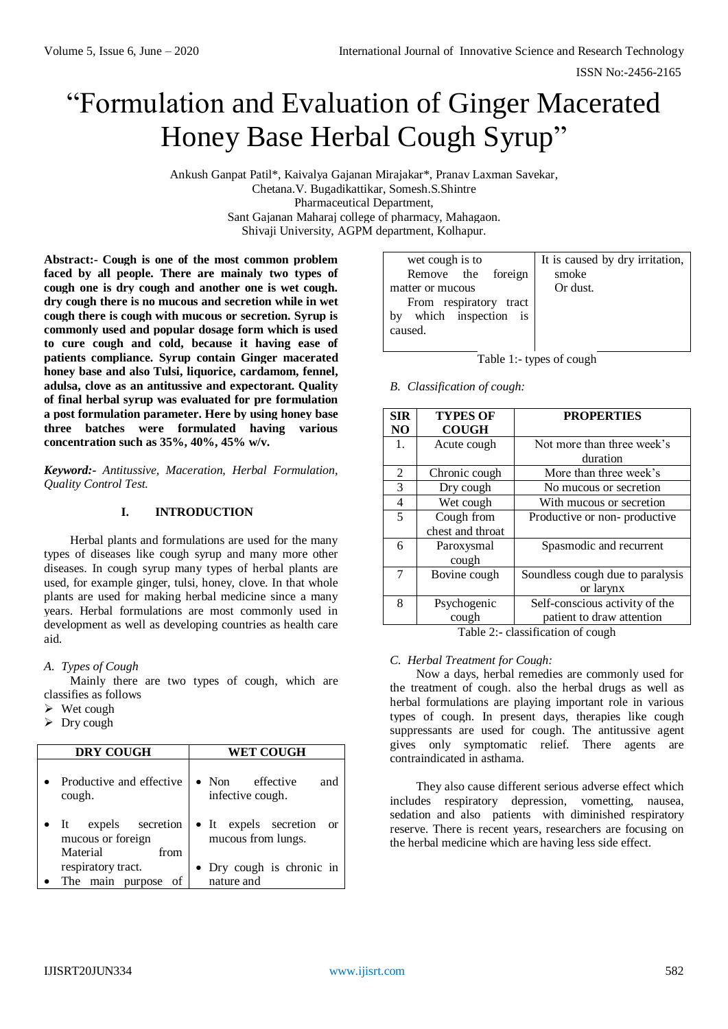ISSN No:-2456-2165

# "Formulation and Evaluation of Ginger Macerated Honey Base Herbal Cough Syrup"

Ankush Ganpat Patil\*, Kaivalya Gajanan Mirajakar\*, Pranav Laxman Savekar, Chetana.V. Bugadikattikar, Somesh.S.Shintre Pharmaceutical Department, Sant Gajanan Maharaj college of pharmacy, Mahagaon. Shivaji University, AGPM department, Kolhapur.

**Abstract:- Cough is one of the most common problem faced by all people. There are mainaly two types of cough one is dry cough and another one is wet cough. dry cough there is no mucous and secretion while in wet cough there is cough with mucous or secretion. Syrup is commonly used and popular dosage form which is used to cure cough and cold, because it having ease of patients compliance. Syrup contain Ginger macerated honey base and also Tulsi, liquorice, cardamom, fennel, adulsa, clove as an antitussive and expectorant. Quality of final herbal syrup was evaluated for pre formulation a post formulation parameter. Here by using honey base three batches were formulated having various concentration such as 35%, 40%, 45% w/v.**

*Keyword:- Antitussive, Maceration, Herbal Formulation, Quality Control Test.*

#### **I. INTRODUCTION**

Herbal plants and formulations are used for the many types of diseases like cough syrup and many more other diseases. In cough syrup many types of herbal plants are used, for example ginger, tulsi, honey, clove. In that whole plants are used for making herbal medicine since a many years. Herbal formulations are most commonly used in development as well as developing countries as health care aid.

#### *A. Types of Cough*

Mainly there are two types of cough, which are classifies as follows

- $\triangleright$  Wet cough
- $\triangleright$  Dry cough

| <b>DRY COUGH</b>                                                          | <b>WET COUGH</b>                                         |  |  |
|---------------------------------------------------------------------------|----------------------------------------------------------|--|--|
| Productive and effective<br>cough.                                        | effective<br>$\bullet$ Non<br>and<br>infective cough.    |  |  |
| expels secretion<br>$\bullet$ It<br>mucous or foreign<br>Material<br>from | • It expels secretion<br><b>or</b><br>mucous from lungs. |  |  |
| respiratory tract.<br>main<br>The<br>purpose                              | • Dry cough is chronic in<br>nature and                  |  |  |

| wet cough is to           | It is caused by dry irritation, |
|---------------------------|---------------------------------|
| Remove the foreign        | smoke                           |
| matter or mucous          | Or dust.                        |
| From respiratory tract    |                                 |
| which inspection is<br>by |                                 |
| caused.                   |                                 |
|                           |                                 |

Table 1:- types of cough

#### *B. Classification of cough:*

| <b>TYPES OF</b>  | <b>PROPERTIES</b>                |
|------------------|----------------------------------|
| <b>COUGH</b>     |                                  |
| Acute cough      | Not more than three week's       |
|                  | duration                         |
| Chronic cough    | More than three week's           |
| Dry cough        | No mucous or secretion           |
| Wet cough        | With mucous or secretion         |
| Cough from       | Productive or non-productive     |
| chest and throat |                                  |
| Paroxysmal       | Spasmodic and recurrent          |
| cough            |                                  |
| Bovine cough     | Soundless cough due to paralysis |
|                  | or larynx                        |
| Psychogenic      | Self-conscious activity of the   |
| cough            | patient to draw attention        |
|                  |                                  |

Table 2:- classification of cough

#### *C. Herbal Treatment for Cough:*

Now a days, herbal remedies are commonly used for the treatment of cough. also the herbal drugs as well as herbal formulations are playing important role in various types of cough. In present days, therapies like cough suppressants are used for cough. The antitussive agent gives only symptomatic relief. There agents are contraindicated in asthama.

They also cause different serious adverse effect which includes respiratory depression, vometting, nausea, sedation and also patients with diminished respiratory reserve. There is recent years, researchers are focusing on the herbal medicine which are having less side effect.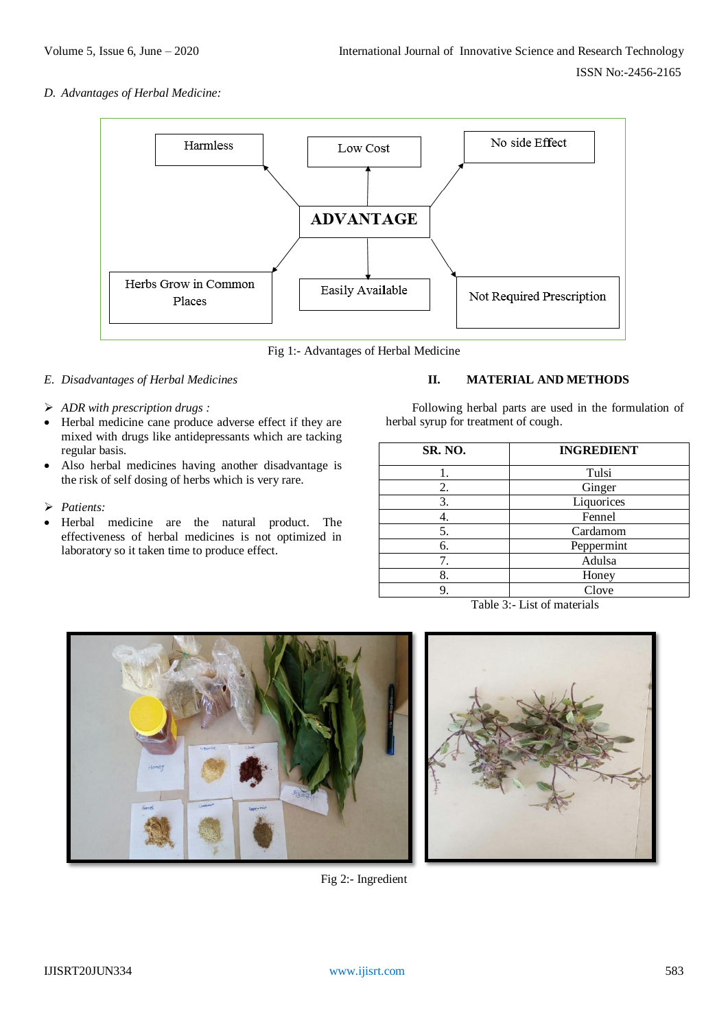*D. Advantages of Herbal Medicine:*



Fig 1:- Advantages of Herbal Medicine

## *E. Disadvantages of Herbal Medicines*

- *ADR with prescription drugs :*
- Herbal medicine cane produce adverse effect if they are mixed with drugs like antidepressants which are tacking regular basis.
- Also herbal medicines having another disadvantage is the risk of self dosing of herbs which is very rare.
- *Patients:*
- Herbal medicine are the natural product. The effectiveness of herbal medicines is not optimized in laboratory so it taken time to produce effect.

## **II. MATERIAL AND METHODS**

Following herbal parts are used in the formulation of herbal syrup for treatment of cough.

| SR. NO. | <b>INGREDIENT</b> |  |  |
|---------|-------------------|--|--|
|         | Tulsi             |  |  |
| 2.      | Ginger            |  |  |
| 3.      | Liquorices        |  |  |
|         | Fennel            |  |  |
| 5.      | Cardamom          |  |  |
| 6.      | Peppermint        |  |  |
|         | Adulsa            |  |  |
| 8.      | Honey             |  |  |
| 9.      | Clove             |  |  |

Table 3:- List of materials





Fig 2:- Ingredient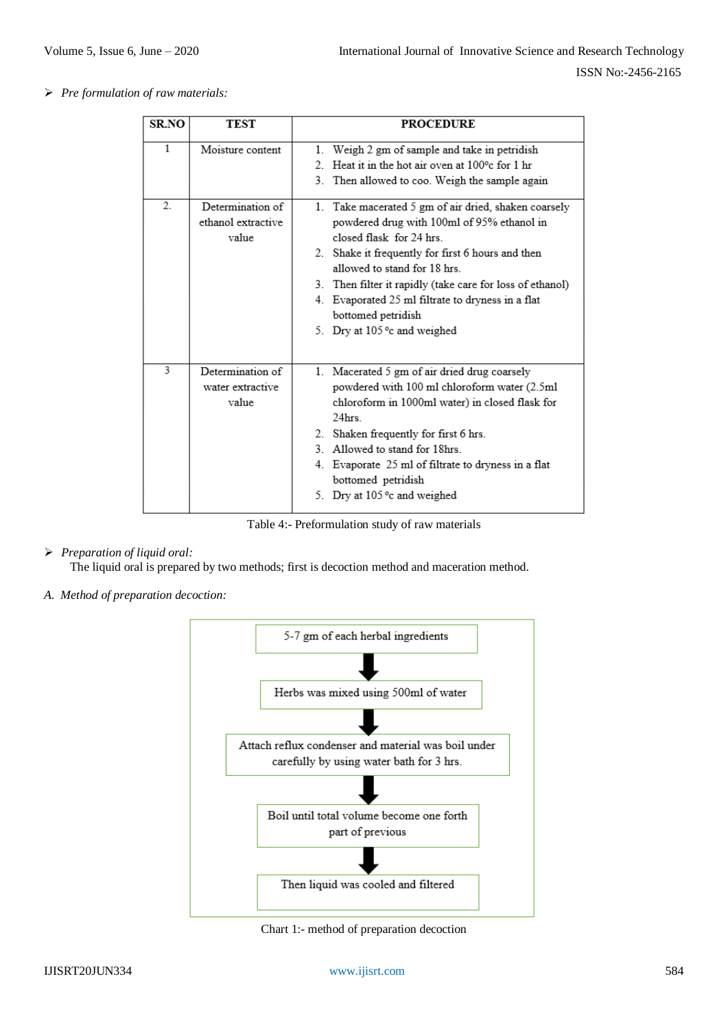*Pre formulation of raw materials:*

| <b>SR.NO</b> | TEST                                            | <b>PROCEDURE</b>                                                                                                                                                                                                                                                                                                                                                                           |
|--------------|-------------------------------------------------|--------------------------------------------------------------------------------------------------------------------------------------------------------------------------------------------------------------------------------------------------------------------------------------------------------------------------------------------------------------------------------------------|
| $\mathbf{1}$ | Moisture content                                | Weigh 2 gm of sample and take in petridish<br>1.<br>Heat it in the hot air oven at 100 <sup>o</sup> c for 1 hr<br>$2^{\circ}$<br>3. Then allowed to coo. Weigh the sample again                                                                                                                                                                                                            |
| 2.           | Determination of<br>ethanol extractive<br>value | 1. Take macerated 5 gm of air dried, shaken coarsely<br>powdered drug with 100ml of 95% ethanol in<br>closed flask for 24 hrs<br>2. Shake it frequently for first 6 hours and then<br>allowed to stand for 18 hrs.<br>3. Then filter it rapidly (take care for loss of ethanol)<br>4. Evaporated 25 ml filtrate to dryness in a flat<br>bottomed petridish<br>5. Dry at 105 °c and weighed |
| 3            | Determination of<br>water extractive<br>value   | 1. Macerated 5 gm of air dried drug coarsely<br>powdered with 100 ml chloroform water (2.5ml<br>chloroform in 1000ml water) in closed flask for<br>24hrs<br>Shaken frequently for first 6 hrs.<br>2.<br>3. Allowed to stand for 18hrs.<br>4. Evaporate 25 ml of filtrate to dryness in a flat<br>bottomed petridish<br>5. Dry at 105 °c and weighed                                        |

Table 4:- Preformulation study of raw materials

*Preparation of liquid oral:*

The liquid oral is prepared by two methods; first is decoction method and maceration method.

*A. Method of preparation decoction:*



Chart 1:- method of preparation decoction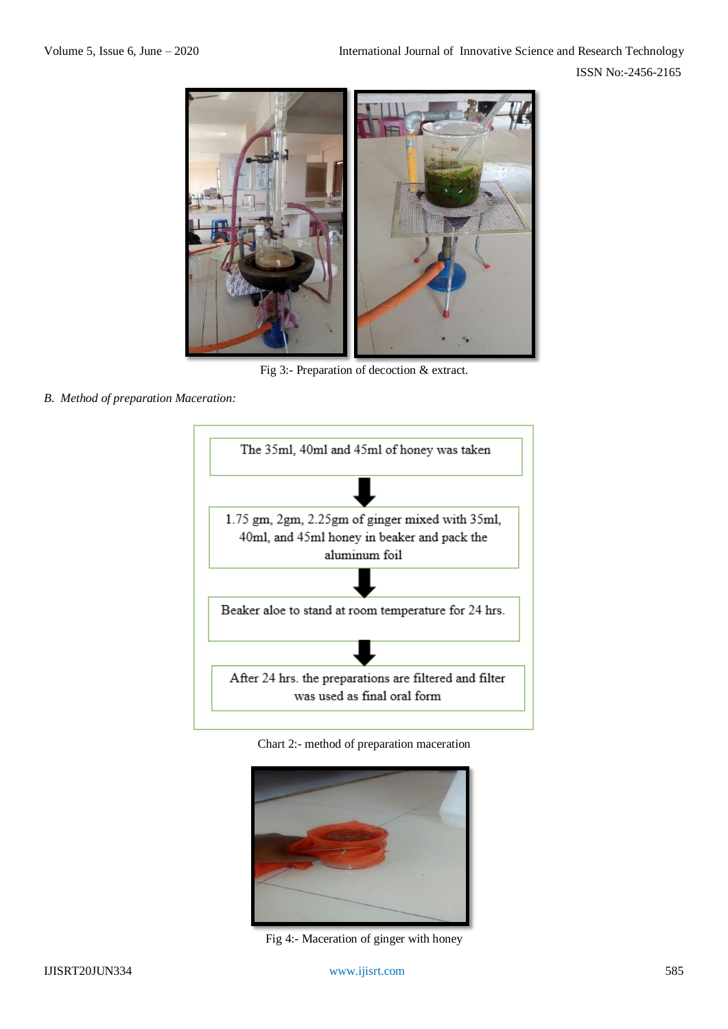ISSN No:-2456-2165



Fig 3:- Preparation of decoction & extract.

*B. Method of preparation Maceration:*



Chart 2:- method of preparation maceration



Fig 4:- Maceration of ginger with honey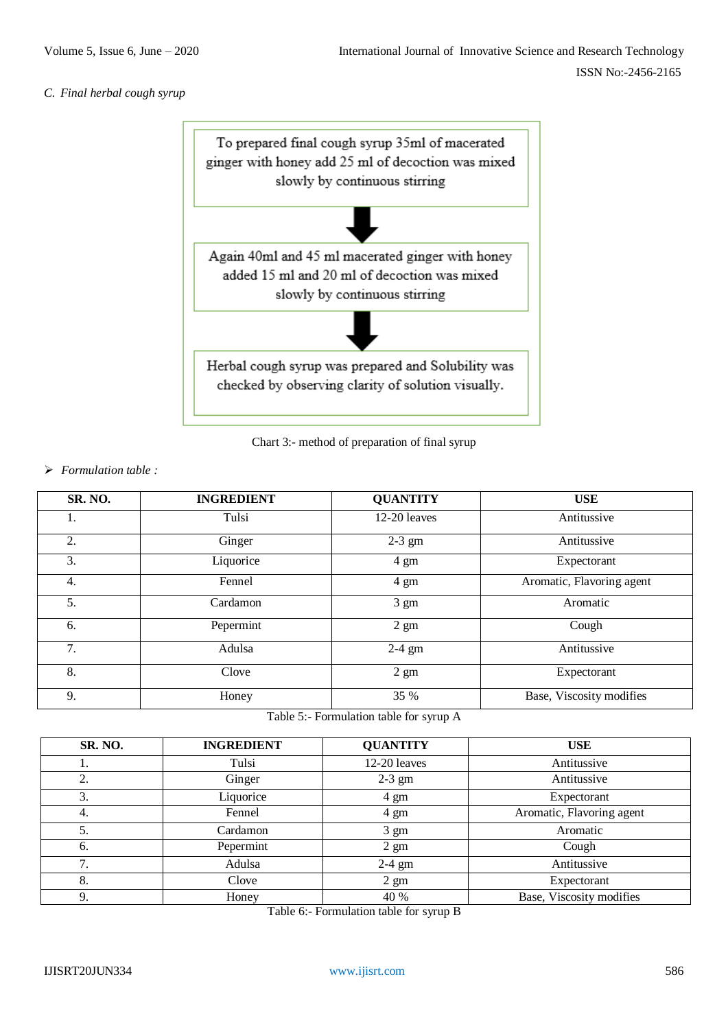#### *C. Final herbal cough syrup*



Chart 3:- method of preparation of final syrup

#### *Formulation table :*

| SR. NO. | <b>INGREDIENT</b> | <b>QUANTITY</b> | <b>USE</b>                |
|---------|-------------------|-----------------|---------------------------|
| 1.      | Tulsi             | 12-20 leaves    | Antitussive               |
| 2.      | Ginger            | $2-3$ gm        | Antitussive               |
| 3.      | Liquorice         | 4 gm            | Expectorant               |
| 4.      | Fennel            | 4 gm            | Aromatic, Flavoring agent |
| 5.      | Cardamon          | $3 \text{ gm}$  | Aromatic                  |
| 6.      | Pepermint         | $2 \text{ gm}$  | Cough                     |
| 7.      | Adulsa            | $2-4$ gm        | Antitussive               |
| 8.      | Clove             | $2 \text{ gm}$  | Expectorant               |
| 9.      | Honey             | 35 %            | Base, Viscosity modifies  |

Table 5:- Formulation table for syrup A

| SR. NO. | <b>INGREDIENT</b> | <b>QUANTITY</b> | <b>USE</b>                |
|---------|-------------------|-----------------|---------------------------|
| .,      | Tulsi             | 12-20 leaves    | Antitussive               |
| 2.      | Ginger            | $2-3$ gm        | Antitussive               |
| 3.      | Liquorice         | $4 \text{ gm}$  | Expectorant               |
| 4.      | Fennel            | 4 gm            | Aromatic, Flavoring agent |
| 5.      | Cardamon          | $3 \text{ gm}$  | Aromatic                  |
| -6.     | Pepermint         | $2 \text{ gm}$  | Cough                     |
| 7.      | Adulsa            | $2-4$ gm        | Antitussive               |
| 8.      | Clove             | $2 \text{ gm}$  | Expectorant               |
|         | Honey             | 40 %            | Base, Viscosity modifies  |

Table 6:- Formulation table for syrup B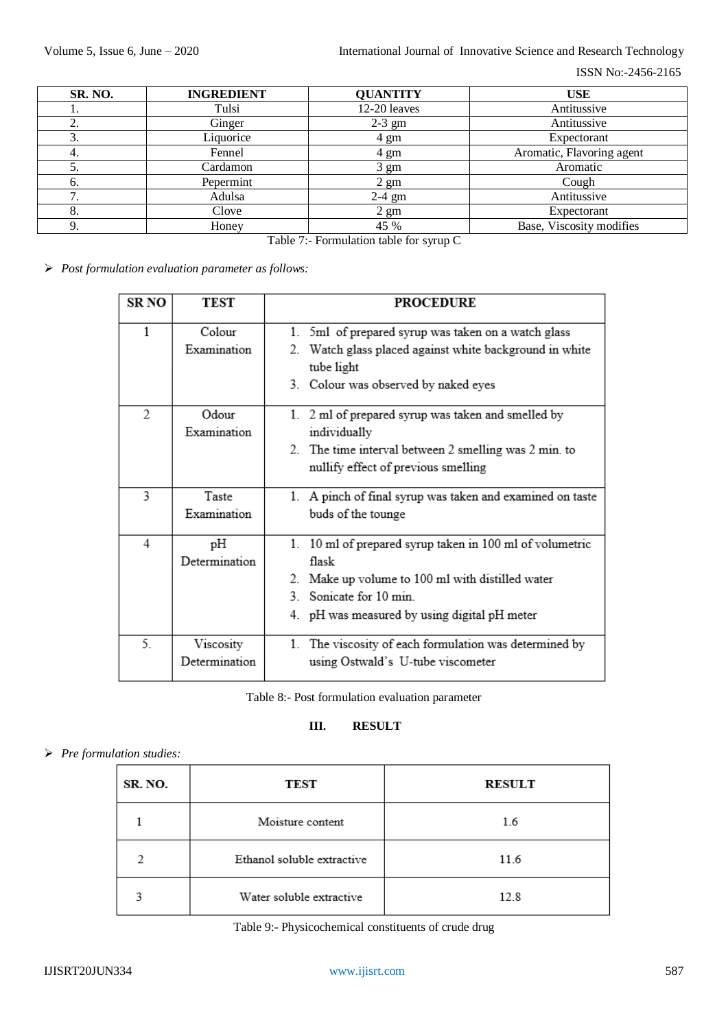| SR. NO. | <b>INGREDIENT</b> | <b>QUANTITY</b>               | <b>USE</b>                |
|---------|-------------------|-------------------------------|---------------------------|
| 1.      | Tulsi             | 12-20 leaves                  | Antitussive               |
| 2.      | Ginger            | $2-3$ gm                      | Antitussive               |
| 3.      | Liquorice         | Expectorant<br>4 gm           |                           |
| 4.      | Fennel            | 4 gm                          | Aromatic, Flavoring agent |
| C.      | Cardamon          | $3 \text{ gm}$                | Aromatic                  |
| 6.      | Pepermint         | $2 \text{ gm}$<br>Cough       |                           |
| 7.      | Adulsa            | Antitussive<br>$2-4$ gm       |                           |
| 8.      | Clove             | $2 \text{ gm}$<br>Expectorant |                           |
| 9.      | Honey             | 45 %                          | Base, Viscosity modifies  |

Table 7:- Formulation table for syrup C

*Post formulation evaluation parameter as follows:*

| SR <sub>NO</sub> | <b>TEST</b>                | <b>PROCEDURE</b>                                                                                                                                                                               |
|------------------|----------------------------|------------------------------------------------------------------------------------------------------------------------------------------------------------------------------------------------|
| $\mathbf{1}$     | Colour<br>Examination      | 1. 5ml of prepared syrup was taken on a watch glass<br>2. Watch glass placed against white background in white<br>tube light<br>3. Colour was observed by naked eyes                           |
| $\overline{c}$   | Odour<br>Examination       | 1. 2 ml of prepared syrup was taken and smelled by<br>individually<br>2. The time interval between 2 smelling was 2 min. to<br>nullify effect of previous smelling                             |
| 3                | Taste<br>Examination       | 1. A pinch of final syrup was taken and examined on taste<br>buds of the tounge                                                                                                                |
| 4                | pН<br>Determination        | 1. 10 ml of prepared syrup taken in 100 ml of volumetric<br>flask<br>2. Make up volume to 100 ml with distilled water<br>3 Sonicate for 10 min<br>4. pH was measured by using digital pH meter |
| 5.               | Viscosity<br>Determination | 1. The viscosity of each formulation was determined by<br>using Ostwald's U-tube viscometer                                                                                                    |

Table 8:- Post formulation evaluation parameter

## **III. RESULT**

## *Pre formulation studies:*

| SR. NO. | TEST                       | <b>RESULT</b> |
|---------|----------------------------|---------------|
|         | Moisture content           | 1.6           |
|         | Ethanol soluble extractive | 11.6          |
|         | Water soluble extractive   | 12.8          |

Table 9:- Physicochemical constituents of crude drug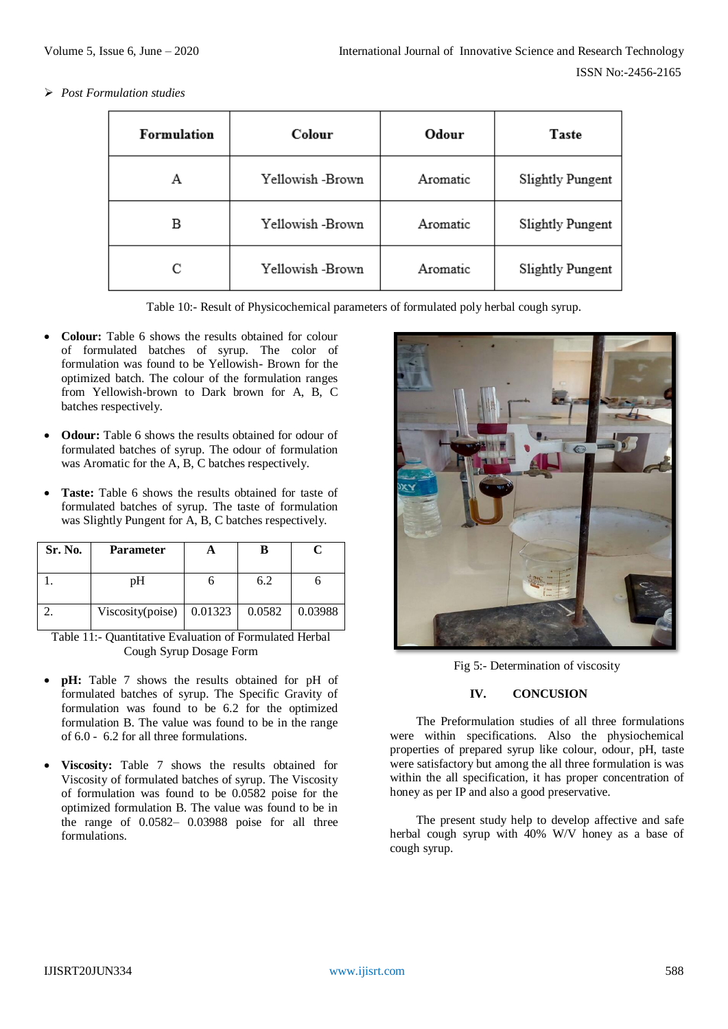*Post Formulation studies*

| Formulation           | Colour           | Odour    | Taste                   |
|-----------------------|------------------|----------|-------------------------|
| А                     | Yellowish -Brown | Aromatic | <b>Slightly Pungent</b> |
| в                     | Yellowish -Brown | Aromatic | <b>Slightly Pungent</b> |
| Yellowish -Brown<br>С |                  | Aromatic | <b>Slightly Pungent</b> |

Table 10:- Result of Physicochemical parameters of formulated poly herbal cough syrup.

- **Colour:** Table 6 shows the results obtained for colour of formulated batches of syrup. The color of formulation was found to be Yellowish- Brown for the optimized batch. The colour of the formulation ranges from Yellowish-brown to Dark brown for A, B, C batches respectively.
- **Odour:** Table 6 shows the results obtained for odour of formulated batches of syrup. The odour of formulation was Aromatic for the A, B, C batches respectively.
- **Taste:** Table 6 shows the results obtained for taste of formulated batches of syrup. The taste of formulation was Slightly Pungent for A, B, C batches respectively.

| Sr. No. | <b>Parameter</b> |         |        | C       |
|---------|------------------|---------|--------|---------|
|         | рH               |         | 6.2    |         |
|         | Viscosity(poise) | 0.01323 | 0.0582 | 0.03988 |

Table 11:- Quantitative Evaluation of Formulated Herbal Cough Syrup Dosage Form

- **pH:** Table 7 shows the results obtained for pH of formulated batches of syrup. The Specific Gravity of formulation was found to be 6.2 for the optimized formulation B. The value was found to be in the range of 6.0 - 6.2 for all three formulations.
- **Viscosity:** Table 7 shows the results obtained for Viscosity of formulated batches of syrup. The Viscosity of formulation was found to be 0.0582 poise for the optimized formulation B. The value was found to be in the range of 0.0582– 0.03988 poise for all three formulations.



Fig 5:- Determination of viscosity

#### **IV. CONCUSION**

The Preformulation studies of all three formulations were within specifications. Also the physiochemical properties of prepared syrup like colour, odour, pH, taste were satisfactory but among the all three formulation is was within the all specification, it has proper concentration of honey as per IP and also a good preservative.

The present study help to develop affective and safe herbal cough syrup with 40% W/V honey as a base of cough syrup.